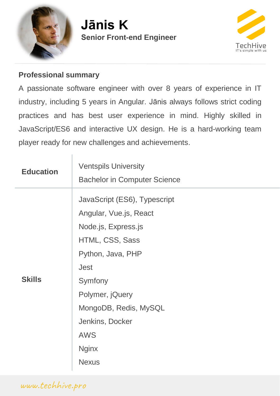

# **Senior Front-end Engineer Jānis K**



#### **Professional summary**

A passionate software engineer with over 8 years of experience in IT industry, including 5 years in Angular. Jānis always follows strict coding practices and has best user experience in mind. Highly skilled in JavaScript/ES6 and interactive UX design. He is a hard-working team player ready for new challenges and achievements.

| <b>Education</b> | <b>Ventspils University</b>                                                                                                                                                                                                                  |
|------------------|----------------------------------------------------------------------------------------------------------------------------------------------------------------------------------------------------------------------------------------------|
|                  | <b>Bachelor in Computer Science</b>                                                                                                                                                                                                          |
| <b>Skills</b>    | JavaScript (ES6), Typescript<br>Angular, Vue.js, React<br>Node.js, Express.js<br>HTML, CSS, Sass<br>Python, Java, PHP<br><b>Jest</b><br>Symfony<br>Polymer, jQuery<br>MongoDB, Redis, MySQL<br>Jenkins, Docker<br><b>AWS</b><br><b>Nginx</b> |
|                  | <b>Nexus</b>                                                                                                                                                                                                                                 |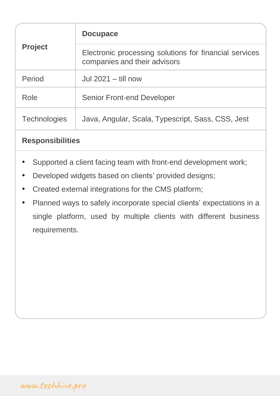| <b>Project</b>      | <b>Docupace</b>                                                                        |
|---------------------|----------------------------------------------------------------------------------------|
|                     | Electronic processing solutions for financial services<br>companies and their advisors |
| Period              | Jul $2021 -$ till now                                                                  |
| Role                | <b>Senior Front-end Developer</b>                                                      |
| <b>Technologies</b> | Java, Angular, Scala, Typescript, Sass, CSS, Jest                                      |

### **Responsibilities**

- Supported a client facing team with front-end development work;
- Developed widgets based on clients' provided designs;
- Created external integrations for the CMS platform;
- Planned ways to safely incorporate special clients' expectations in a single platform, used by multiple clients with different business requirements.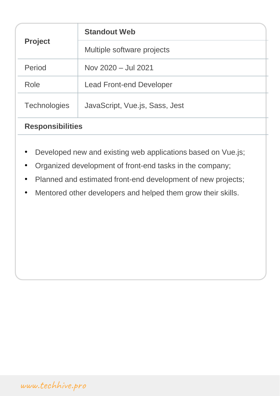| <b>Project</b>          | <b>Standout Web</b>             |
|-------------------------|---------------------------------|
|                         | Multiple software projects      |
| Period                  | Nov 2020 - Jul 2021             |
| Role                    | <b>Lead Front-end Developer</b> |
| <b>Technologies</b>     | JavaScript, Vue.js, Sass, Jest  |
| <b>Responsibilities</b> |                                 |

- Developed new and existing web applications based on Vue.js;
- Organized development of front-end tasks in the company;
- Planned and estimated front-end development of new projects;
- Mentored other developers and helped them grow their skills.

[www.techhive.pro](http://www.techhive.pro/)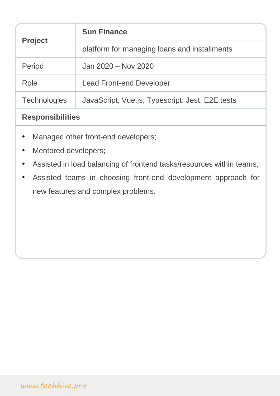| <b>Project</b> | <b>Sun Finance</b>                              |
|----------------|-------------------------------------------------|
|                | platform for managing loans and installments    |
| Period         | Jan 2020 - Nov 2020                             |
| Role           | <b>Lead Front-end Developer</b>                 |
| Technologies   | JavaScript, Vue.js, Typescript, Jest, E2E tests |

## **Responsibilities**

- Managed other front-end developers;
- Mentored developers;
- Assisted in load balancing of frontend tasks/resources within teams;
- Assisted teams in choosing front-end development approach for new features and complex problems.

[www.techhive.pro](http://www.techhive.pro/)